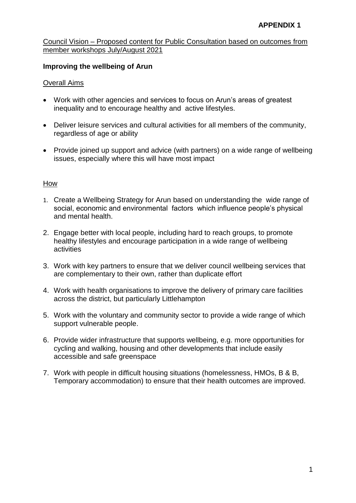## **Improving the wellbeing of Arun**

## Overall Aims

- Work with other agencies and services to focus on Arun's areas of greatest inequality and to encourage healthy and active lifestyles.
- Deliver leisure services and cultural activities for all members of the community, regardless of age or ability
- Provide joined up support and advice (with partners) on a wide range of wellbeing issues, especially where this will have most impact

- 1. Create a Wellbeing Strategy for Arun based on understanding the wide range of social, economic and environmental factors which influence people's physical and mental health.
- 2. Engage better with local people, including hard to reach groups, to promote healthy lifestyles and encourage participation in a wide range of wellbeing activities
- 3. Work with key partners to ensure that we deliver council wellbeing services that are complementary to their own, rather than duplicate effort
- 4. Work with health organisations to improve the delivery of primary care facilities across the district, but particularly Littlehampton
- 5. Work with the voluntary and community sector to provide a wide range of which support vulnerable people.
- 6. Provide wider infrastructure that supports wellbeing, e.g. more opportunities for cycling and walking, housing and other developments that include easily accessible and safe greenspace
- 7. Work with people in difficult housing situations (homelessness, HMOs, B & B, Temporary accommodation) to ensure that their health outcomes are improved.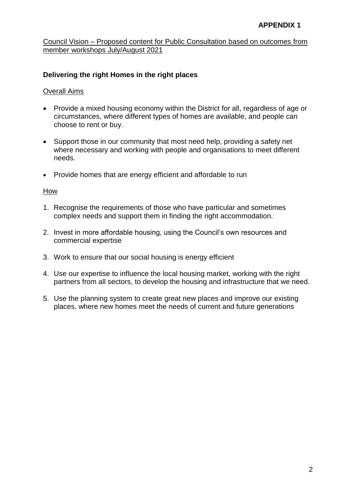# **Delivering the right Homes in the right places**

### Overall Aims

- Provide a mixed housing economy within the District for all, regardless of age or circumstances, where different types of homes are available, and people can choose to rent or buy.
- Support those in our community that most need help, providing a safety net where necessary and working with people and organisations to meet different needs.
- Provide homes that are energy efficient and affordable to run

- 1. Recognise the requirements of those who have particular and sometimes complex needs and support them in finding the right accommodation.
- 2. Invest in more affordable housing, using the Council's own resources and commercial expertise
- 3. Work to ensure that our social housing is energy efficient
- 4. Use our expertise to influence the local housing market, working with the right partners from all sectors, to develop the housing and infrastructure that we need.
- 5. Use the planning system to create great new places and improve our existing places, where new homes meet the needs of current and future generations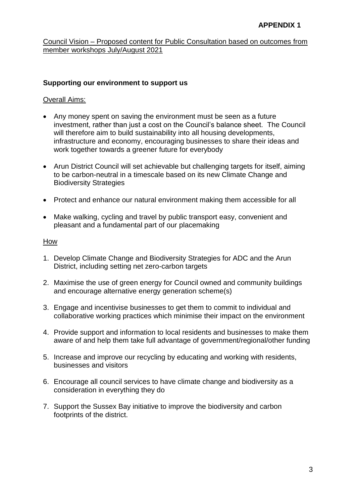### **Supporting our environment to support us**

### Overall Aims:

- Any money spent on saving the environment must be seen as a future investment, rather than just a cost on the Council's balance sheet. The Council will therefore aim to build sustainability into all housing developments, infrastructure and economy, encouraging businesses to share their ideas and work together towards a greener future for everybody
- Arun District Council will set achievable but challenging targets for itself, aiming to be carbon-neutral in a timescale based on its new Climate Change and Biodiversity Strategies
- Protect and enhance our natural environment making them accessible for all
- Make walking, cycling and travel by public transport easy, convenient and pleasant and a fundamental part of our placemaking

- 1. Develop Climate Change and Biodiversity Strategies for ADC and the Arun District, including setting net zero-carbon targets
- 2. Maximise the use of green energy for Council owned and community buildings and encourage alternative energy generation scheme(s)
- 3. Engage and incentivise businesses to get them to commit to individual and collaborative working practices which minimise their impact on the environment
- 4. Provide support and information to local residents and businesses to make them aware of and help them take full advantage of government/regional/other funding
- 5. Increase and improve our recycling by educating and working with residents, businesses and visitors
- 6. Encourage all council services to have climate change and biodiversity as a consideration in everything they do
- 7. Support the Sussex Bay initiative to improve the biodiversity and carbon footprints of the district.